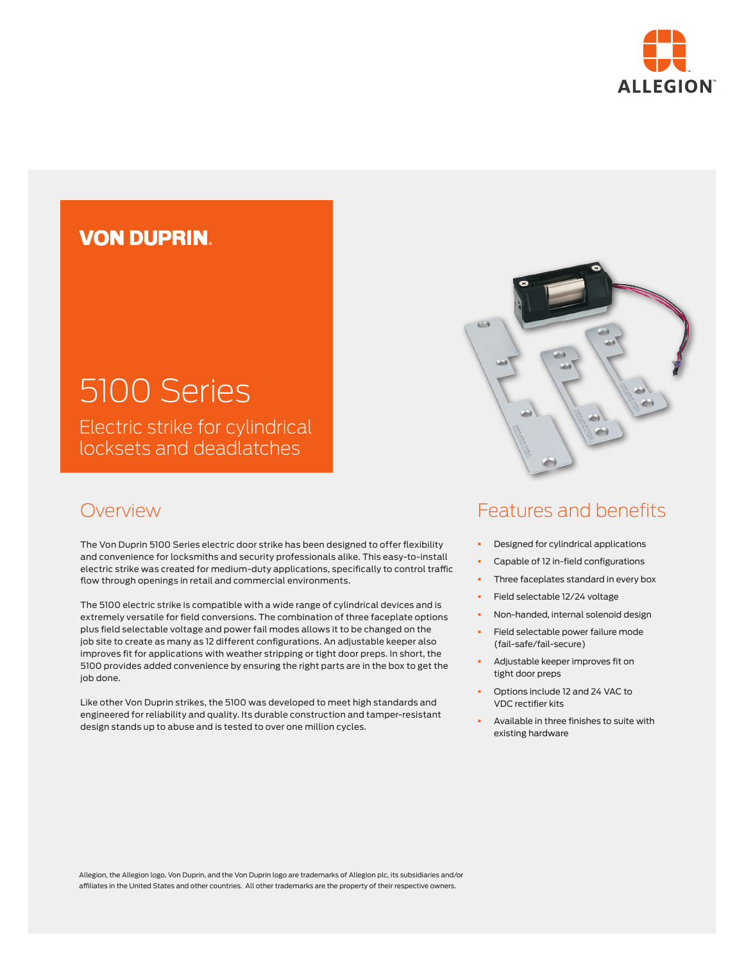

## **VON DUPRIN**

# 5100 Series Electric strike for cylindrical

locksets and deadlatches

### Overview

The Von Duprin 5100 Series electric door strike has been designed to offer flexibility and convenience for locksmiths and security professionals alike. This easy-to-install electric strike was created for medium-duty applications, specifically to control traffic flow through openings in retail and commercial environments.

The 5100 electric strike is compatible with a wide range of cylindrical devices and is extremely versatile for field conversions. The combination of three faceplate options plus field selectable voltage and power fail modes allows it to be changed on the job site to create as many as 12 different configurations. An adjustable keeper also improves fit for applications with weather stripping or tight door preps. In short, the 5100 provides added convenience by ensuring the right parts are in the box to get the job done.

Like other Von Duprin strikes, the 5100 was developed to meet high standards and engineered for reliability and quality. Its durable construction and tamper-resistant design stands up to abuse and is tested to over one million cycles.



## Features and benefits

- § Designed for cylindrical applications
- § Capable of 12 in-field configurations
- Three faceplates standard in every box
- § Field selectable 12/24 voltage
- § Non-handed, internal solenoid design
- § Field selectable power failure mode (fail-safe/fail-secure)
- § Adjustable keeper improves fit on tight door preps
- § Options include 12 and 24 VAC to VDC rectifier kits
- § Available in three finishes to suite with existing hardware

Allegion, the Allegion logo, Von Duprin, and the Von Duprin logo are trademarks of Allegion plc, its subsidiaries and/or affiliates in the United States and other countries. All other trademarks are the property of their respective owners.